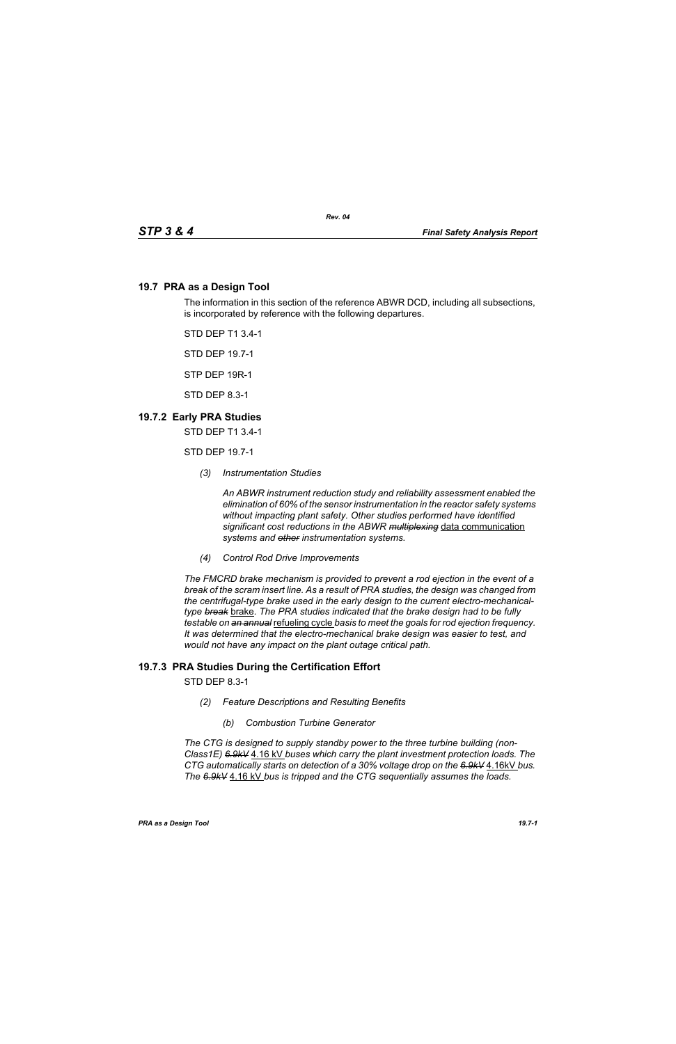## **19.7 PRA as a Design Tool**

The information in this section of the reference ABWR DCD, including all subsections, is incorporated by reference with the following departures.

STD DEP T1 3.4-1

STD DEP 19.7-1

STP DEP 19R-1

STD DEP 8.3-1

## **19.7.2 Early PRA Studies**

STD DEP T1 3.4-1

STD DEP 19.7-1

*(3) Instrumentation Studies*

*An ABWR instrument reduction study and reliability assessment enabled the elimination of 60% of the sensor instrumentation in the reactor safety systems without impacting plant safety. Other studies performed have identified significant cost reductions in the ABWR multiplexing* data communication *systems and other instrumentation systems.*

*(4) Control Rod Drive Improvements* 

*The FMCRD brake mechanism is provided to prevent a rod ejection in the event of a break of the scram insert line. As a result of PRA studies, the design was changed from the centrifugal-type brake used in the early design to the current electro-mechanicaltype break* brake*. The PRA studies indicated that the brake design had to be fully testable on an annual* refueling cycle *basis to meet the goals for rod ejection frequency. It was determined that the electro-mechanical brake design was easier to test, and would not have any impact on the plant outage critical path.*

## **19.7.3 PRA Studies During the Certification Effort**

STD DEP 8.3-1

- *(2) Feature Descriptions and Resulting Benefits* 
	- *(b) Combustion Turbine Generator*

*The CTG is designed to supply standby power to the three turbine building (non-Class1E) 6.9kV* 4.16 kV *buses which carry the plant investment protection loads. The CTG automatically starts on detection of a 30% voltage drop on the 6.9kV* 4.16kV *bus. The 6.9kV* 4.16 kV *bus is tripped and the CTG sequentially assumes the loads.*